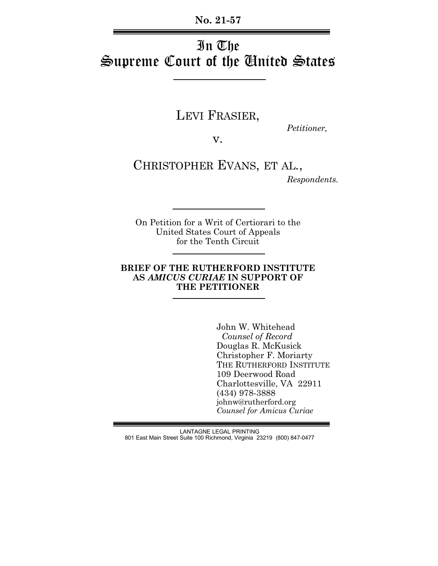**No. 21-57**

## In The Supreme Court of the United States

# LEVI FRASIER, *Petitioner,*

v.

CHRISTOPHER EVANS, ET AL.,

*Respondents.*

On Petition for a Writ of Certiorari to the United States Court of Appeals for the Tenth Circuit

### **BRIEF OF THE RUTHERFORD INSTITUTE AS** *AMICUS CURIAE* **IN SUPPORT OF THE PETITIONER**

John W. Whitehead  *Counsel of Record* Douglas R. McKusick Christopher F. Moriarty THE RUTHERFORD INSTITUTE 109 Deerwood Road Charlottesville, VA 22911 (434) 978-3888 johnw@rutherford.org *Counsel for Amicus Curiae*

LANTAGNE LEGAL PRINTING 801 East Main Street Suite 100 Richmond, Virginia 23219 (800) 847-0477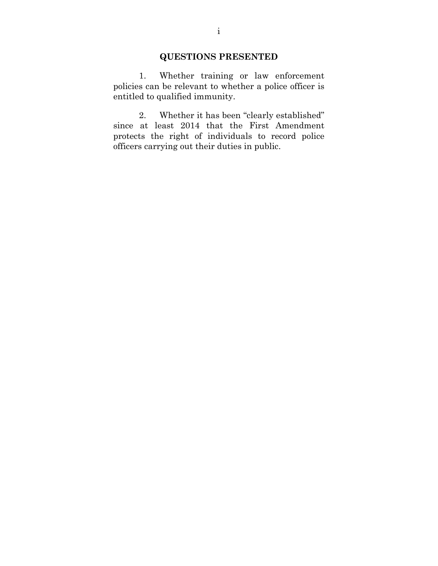## **QUESTIONS PRESENTED**

1. Whether training or law enforcement policies can be relevant to whether a police officer is entitled to qualified immunity.

2. Whether it has been "clearly established" since at least 2014 that the First Amendment protects the right of individuals to record police officers carrying out their duties in public.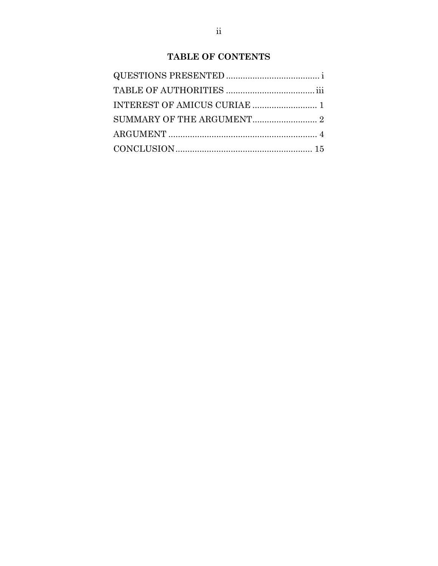## **TABLE OF CONTENTS**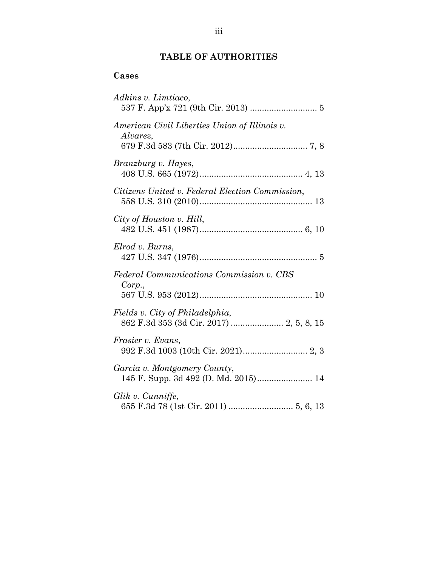## **TABLE OF AUTHORITIES**

## **Cases**

| Adkins v. Limtiaco,                                                         |
|-----------------------------------------------------------------------------|
| American Civil Liberties Union of Illinois v.<br>Alvarez,                   |
| Branzburg v. Hayes,                                                         |
| Citizens United v. Federal Election Commission,                             |
| City of Houston v. Hill,                                                    |
| Elrod v. Burns,                                                             |
| Federal Communications Commission v. CBS<br>Corp.,                          |
| Fields v. City of Philadelphia,<br>862 F.3d 353 (3d Cir. 2017)  2, 5, 8, 15 |
| Frasier v. Evans,                                                           |
| Garcia v. Montgomery County,<br>145 F. Supp. 3d 492 (D. Md. 2015) 14        |
| Glik v. Cunniffe,                                                           |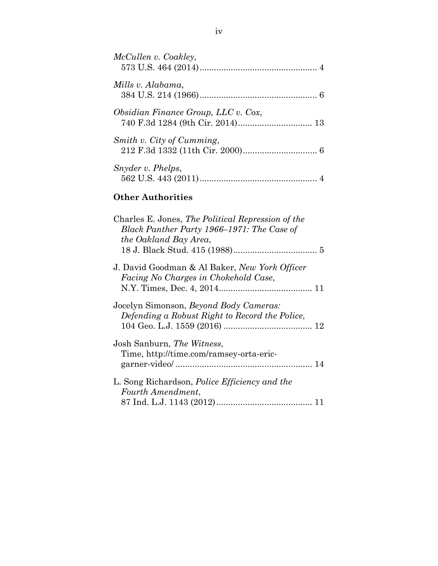| McCullen v. Coakley,                                                                                                     |
|--------------------------------------------------------------------------------------------------------------------------|
| Mills v. Alabama,                                                                                                        |
| Obsidian Finance Group, LLC v. Cox,                                                                                      |
| Smith v. City of Cumming,                                                                                                |
| Snyder v. Phelps,                                                                                                        |
| <b>Other Authorities</b>                                                                                                 |
| Charles E. Jones, The Political Repression of the<br>Black Panther Party 1966–1971: The Case of<br>the Oakland Bay Area, |
| J. David Goodman & Al Baker, New York Officer<br>Facing No Charges in Chokehold Case,                                    |
| Jocelyn Simonson, Beyond Body Cameras:<br>Defending a Robust Right to Record the Police,                                 |
| Josh Sanburn, The Witness,<br>Time, http://time.com/ramsey-orta-eric-                                                    |
| L. Song Richardson, <i>Police Efficiency and the</i><br>Fourth Amendment,                                                |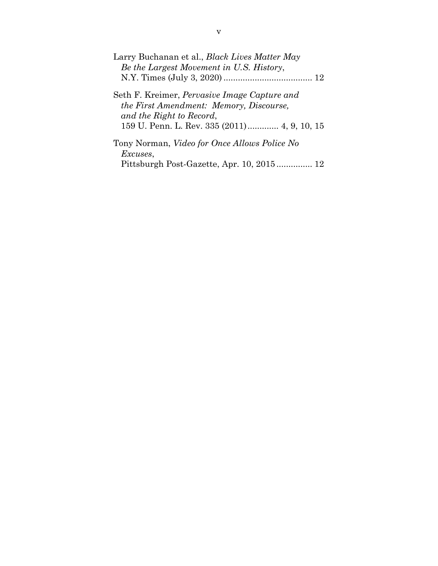| Larry Buchanan et al., <i>Black Lives Matter May</i><br>Be the Largest Movement in U.S. History,      |
|-------------------------------------------------------------------------------------------------------|
|                                                                                                       |
| Seth F. Kreimer, <i>Pervasive Image Capture and</i><br><i>the First Amendment: Memory, Discourse,</i> |
| and the Right to Record,<br>159 U. Penn. L. Rev. 335 (2011) 4, 9, 10, 15                              |
| Tony Norman, <i>Video for Once Allows Police No</i><br><i>Excuses,</i>                                |
| Pittsburgh Post-Gazette, Apr. 10, 2015 12                                                             |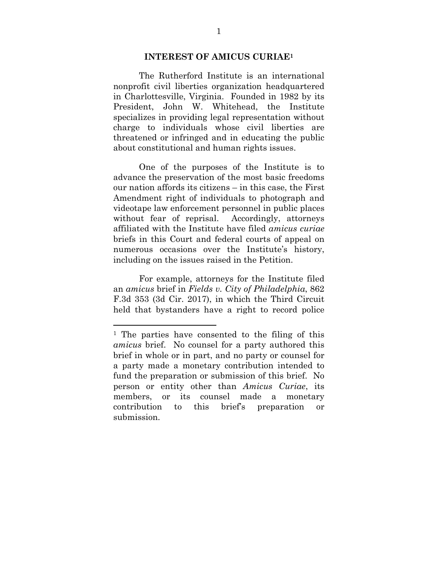#### **INTEREST OF AMICUS CURIAE1**

The Rutherford Institute is an international nonprofit civil liberties organization headquartered in Charlottesville, Virginia. Founded in 1982 by its President, John W. Whitehead, the Institute specializes in providing legal representation without charge to individuals whose civil liberties are threatened or infringed and in educating the public about constitutional and human rights issues.

One of the purposes of the Institute is to advance the preservation of the most basic freedoms our nation affords its citizens – in this case, the First Amendment right of individuals to photograph and videotape law enforcement personnel in public places without fear of reprisal. Accordingly, attorneys affiliated with the Institute have filed *amicus curiae* briefs in this Court and federal courts of appeal on numerous occasions over the Institute's history, including on the issues raised in the Petition.

For example, attorneys for the Institute filed an *amicus* brief in *Fields v. City of Philadelphia*, 862 F.3d 353 (3d Cir. 2017), in which the Third Circuit held that bystanders have a right to record police

l

<sup>1</sup> The parties have consented to the filing of this *amicus* brief. No counsel for a party authored this brief in whole or in part, and no party or counsel for a party made a monetary contribution intended to fund the preparation or submission of this brief. No person or entity other than *Amicus Curiae*, its members, or its counsel made a monetary contribution to this brief's preparation or submission.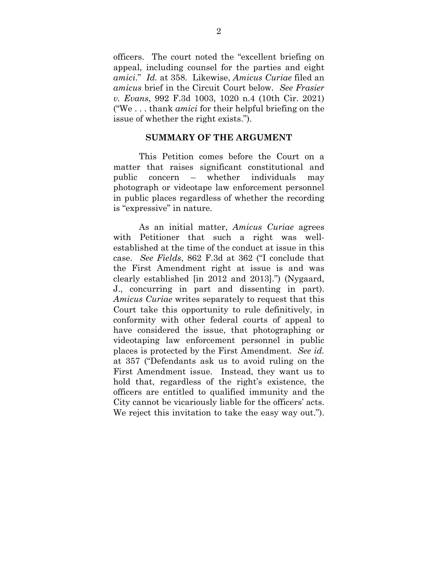officers. The court noted the "excellent briefing on appeal, including counsel for the parties and eight *amici*." *Id.* at 358. Likewise, *Amicus Curiae* filed an *amicus* brief in the Circuit Court below. *See Frasier v. Evans*, 992 F.3d 1003, 1020 n.4 (10th Cir. 2021) ("We . . . thank *amici* for their helpful briefing on the issue of whether the right exists.").

#### **SUMMARY OF THE ARGUMENT**

This Petition comes before the Court on a matter that raises significant constitutional and public concern – whether individuals may photograph or videotape law enforcement personnel in public places regardless of whether the recording is "expressive" in nature.

As an initial matter, *Amicus Curiae* agrees with Petitioner that such a right was wellestablished at the time of the conduct at issue in this case. *See Fields*, 862 F.3d at 362 ("I conclude that the First Amendment right at issue is and was clearly established [in 2012 and 2013].") (Nygaard, J., concurring in part and dissenting in part). *Amicus Curiae* writes separately to request that this Court take this opportunity to rule definitively, in conformity with other federal courts of appeal to have considered the issue, that photographing or videotaping law enforcement personnel in public places is protected by the First Amendment. *See id.* at 357 ("Defendants ask us to avoid ruling on the First Amendment issue. Instead, they want us to hold that, regardless of the right's existence, the officers are entitled to qualified immunity and the City cannot be vicariously liable for the officers' acts. We reject this invitation to take the easy way out.").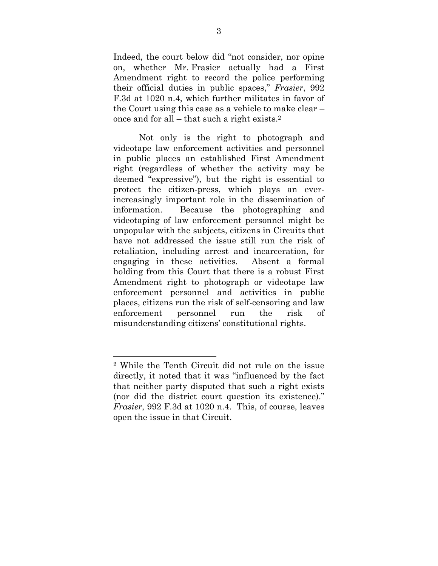Indeed, the court below did "not consider, nor opine on, whether Mr. Frasier actually had a First Amendment right to record the police performing their official duties in public spaces," *Frasier*, 992 F.3d at 1020 n.4, which further militates in favor of the Court using this case as a vehicle to make clear – once and for all – that such a right exists.2

Not only is the right to photograph and videotape law enforcement activities and personnel in public places an established First Amendment right (regardless of whether the activity may be deemed "expressive"), but the right is essential to protect the citizen-press, which plays an everincreasingly important role in the dissemination of information. Because the photographing and videotaping of law enforcement personnel might be unpopular with the subjects, citizens in Circuits that have not addressed the issue still run the risk of retaliation, including arrest and incarceration, for engaging in these activities. Absent a formal holding from this Court that there is a robust First Amendment right to photograph or videotape law enforcement personnel and activities in public places, citizens run the risk of self-censoring and law enforcement personnel run the risk of misunderstanding citizens' constitutional rights.

l

<sup>2</sup> While the Tenth Circuit did not rule on the issue directly, it noted that it was "influenced by the fact that neither party disputed that such a right exists (nor did the district court question its existence)." *Frasier*, 992 F.3d at 1020 n.4. This, of course, leaves open the issue in that Circuit.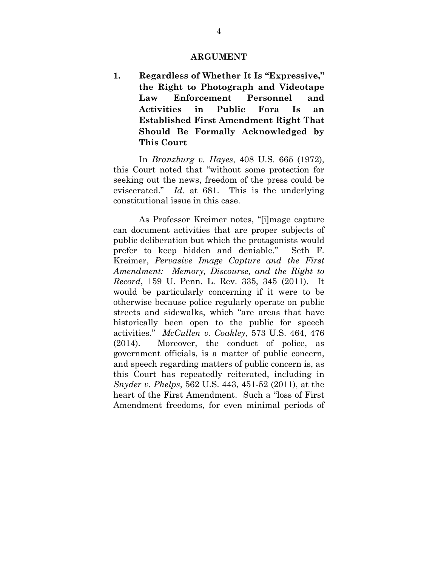#### **ARGUMENT**

**1. Regardless of Whether It Is "Expressive," the Right to Photograph and Videotape Law Enforcement Personnel and Activities in Public Fora Is an Established First Amendment Right That Should Be Formally Acknowledged by This Court** 

In *Branzburg v. Hayes*, 408 U.S. 665 (1972), this Court noted that "without some protection for seeking out the news, freedom of the press could be eviscerated." *Id.* at 681. This is the underlying constitutional issue in this case.

As Professor Kreimer notes, "[i]mage capture can document activities that are proper subjects of public deliberation but which the protagonists would prefer to keep hidden and deniable." Seth F. Kreimer, *Pervasive Image Capture and the First Amendment: Memory, Discourse, and the Right to Record*, 159 U. Penn. L. Rev. 335, 345 (2011). It would be particularly concerning if it were to be otherwise because police regularly operate on public streets and sidewalks, which "are areas that have historically been open to the public for speech activities." *McCullen v. Coakley*, 573 U.S. 464, 476 (2014). Moreover, the conduct of police, as government officials, is a matter of public concern, and speech regarding matters of public concern is, as this Court has repeatedly reiterated, including in *Snyder v. Phelps*, 562 U.S. 443, 451-52 (2011), at the heart of the First Amendment. Such a "loss of First Amendment freedoms, for even minimal periods of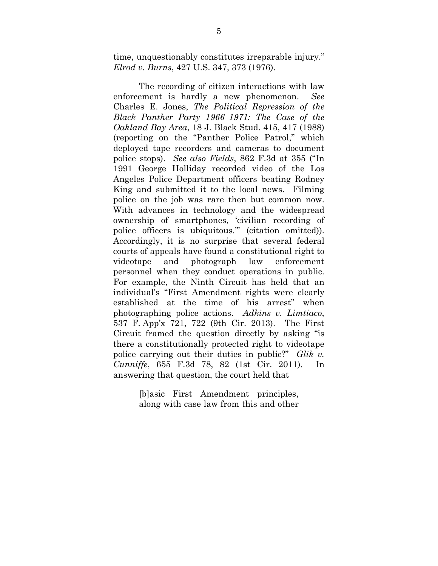time, unquestionably constitutes irreparable injury." *Elrod v. Burns*, 427 U.S. 347, 373 (1976).

The recording of citizen interactions with law enforcement is hardly a new phenomenon. *See* Charles E. Jones, *The Political Repression of the Black Panther Party 1966–1971: The Case of the Oakland Bay Area*, 18 J. Black Stud. 415, 417 (1988) (reporting on the "Panther Police Patrol," which deployed tape recorders and cameras to document police stops). *See also Fields*, 862 F.3d at 355 ("In 1991 George Holliday recorded video of the Los Angeles Police Department officers beating Rodney King and submitted it to the local news. Filming police on the job was rare then but common now. With advances in technology and the widespread ownership of smartphones, 'civilian recording of police officers is ubiquitous.'" (citation omitted)). Accordingly, it is no surprise that several federal courts of appeals have found a constitutional right to videotape and photograph law enforcement personnel when they conduct operations in public. For example, the Ninth Circuit has held that an individual's "First Amendment rights were clearly established at the time of his arrest" when photographing police actions. *Adkins v. Limtiaco*, 537 F. App'x 721, 722 (9th Cir. 2013). The First Circuit framed the question directly by asking "is there a constitutionally protected right to videotape police carrying out their duties in public?" *Glik v. Cunniffe*, 655 F.3d 78, 82 (1st Cir. 2011). In answering that question, the court held that

> [b]asic First Amendment principles, along with case law from this and other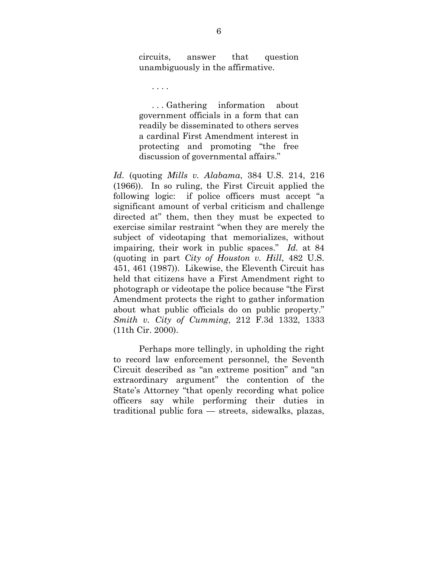circuits, answer that question unambiguously in the affirmative.

. . . .

 . . . Gathering information about government officials in a form that can readily be disseminated to others serves a cardinal First Amendment interest in protecting and promoting "the free discussion of governmental affairs."

*Id.* (quoting *Mills v. Alabama*, 384 U.S. 214, 216 (1966)). In so ruling, the First Circuit applied the following logic: if police officers must accept "a significant amount of verbal criticism and challenge directed at" them, then they must be expected to exercise similar restraint "when they are merely the subject of videotaping that memorializes, without impairing, their work in public spaces." *Id.* at 84 (quoting in part *City of Houston v. Hill*, 482 U.S. 451, 461 (1987)). Likewise, the Eleventh Circuit has held that citizens have a First Amendment right to photograph or videotape the police because "the First Amendment protects the right to gather information about what public officials do on public property." *Smith v. City of Cumming*, 212 F.3d 1332, 1333 (11th Cir. 2000).

Perhaps more tellingly, in upholding the right to record law enforcement personnel, the Seventh Circuit described as "an extreme position" and "an extraordinary argument" the contention of the State's Attorney "that openly recording what police officers say while performing their duties in traditional public fora — streets, sidewalks, plazas,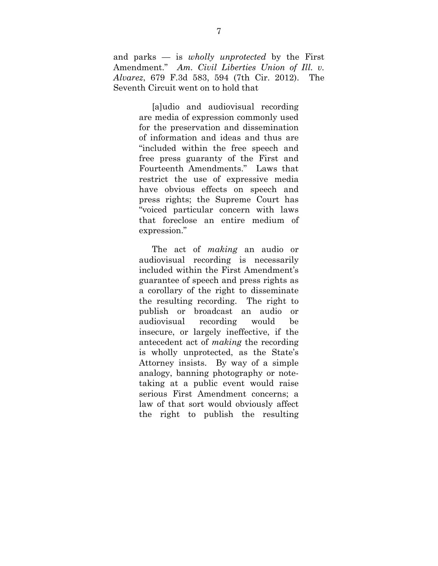and parks — is *wholly unprotected* by the First Amendment." *Am. Civil Liberties Union of Ill. v. Alvarez*, 679 F.3d 583, 594 (7th Cir. 2012). The Seventh Circuit went on to hold that

> [a]udio and audiovisual recording are media of expression commonly used for the preservation and dissemination of information and ideas and thus are "included within the free speech and free press guaranty of the First and Fourteenth Amendments." Laws that restrict the use of expressive media have obvious effects on speech and press rights; the Supreme Court has "voiced particular concern with laws that foreclose an entire medium of expression."

> The act of *making* an audio or audiovisual recording is necessarily included within the First Amendment's guarantee of speech and press rights as a corollary of the right to disseminate the resulting recording. The right to publish or broadcast an audio or audiovisual recording would be insecure, or largely ineffective, if the antecedent act of *making* the recording is wholly unprotected, as the State's Attorney insists. By way of a simple analogy, banning photography or notetaking at a public event would raise serious First Amendment concerns; a law of that sort would obviously affect the right to publish the resulting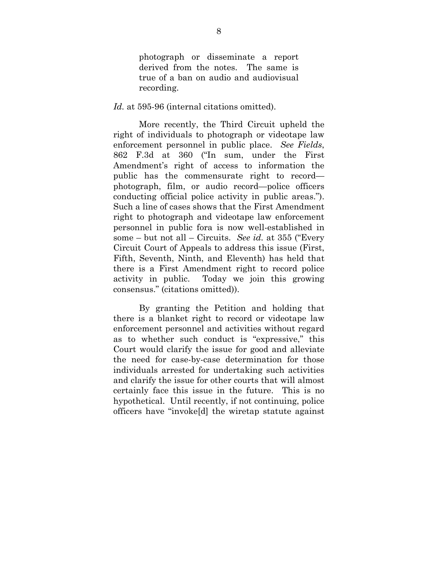photograph or disseminate a report derived from the notes. The same is true of a ban on audio and audiovisual recording.

*Id.* at 595-96 (internal citations omitted).

More recently, the Third Circuit upheld the right of individuals to photograph or videotape law enforcement personnel in public place. *See Fields*, 862 F.3d at 360 ("In sum, under the First Amendment's right of access to information the public has the commensurate right to record photograph, film, or audio record—police officers conducting official police activity in public areas."). Such a line of cases shows that the First Amendment right to photograph and videotape law enforcement personnel in public fora is now well-established in some – but not all – Circuits. *See id.* at 355 ("Every Circuit Court of Appeals to address this issue (First, Fifth, Seventh, Ninth, and Eleventh) has held that there is a First Amendment right to record police activity in public. Today we join this growing consensus." (citations omitted)).

By granting the Petition and holding that there is a blanket right to record or videotape law enforcement personnel and activities without regard as to whether such conduct is "expressive," this Court would clarify the issue for good and alleviate the need for case-by-case determination for those individuals arrested for undertaking such activities and clarify the issue for other courts that will almost certainly face this issue in the future. This is no hypothetical. Until recently, if not continuing, police officers have "invoke[d] the wiretap statute against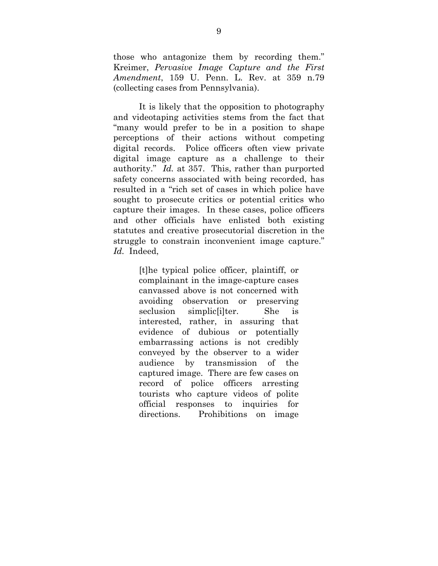those who antagonize them by recording them." Kreimer, *Pervasive Image Capture and the First Amendment*, 159 U. Penn. L. Rev. at 359 n.79 (collecting cases from Pennsylvania).

It is likely that the opposition to photography and videotaping activities stems from the fact that "many would prefer to be in a position to shape perceptions of their actions without competing digital records. Police officers often view private digital image capture as a challenge to their authority." *Id.* at 357. This, rather than purported safety concerns associated with being recorded, has resulted in a "rich set of cases in which police have sought to prosecute critics or potential critics who capture their images. In these cases, police officers and other officials have enlisted both existing statutes and creative prosecutorial discretion in the struggle to constrain inconvenient image capture." *Id.* Indeed,

> [t]he typical police officer, plaintiff, or complainant in the image-capture cases canvassed above is not concerned with avoiding observation or preserving seclusion simplic liter. She is interested, rather, in assuring that evidence of dubious or potentially embarrassing actions is not credibly conveyed by the observer to a wider audience by transmission of the captured image. There are few cases on record of police officers arresting tourists who capture videos of polite official responses to inquiries for directions. Prohibitions on image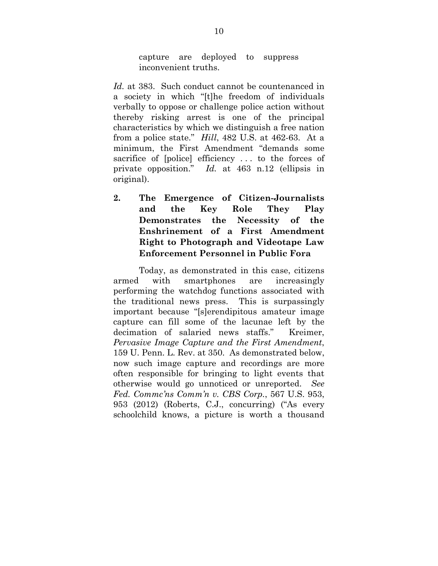capture are deployed to suppress inconvenient truths.

*Id.* at 383. Such conduct cannot be countenanced in a society in which "[t]he freedom of individuals verbally to oppose or challenge police action without thereby risking arrest is one of the principal characteristics by which we distinguish a free nation from a police state." *Hill*, 482 U.S. at 462-63. At a minimum, the First Amendment "demands some sacrifice of [police] efficiency . . . to the forces of private opposition." *Id.* at 463 n.12 (ellipsis in original).

**2. The Emergence of Citizen-Journalists and the Key Role They Play Demonstrates the Necessity of the Enshrinement of a First Amendment Right to Photograph and Videotape Law Enforcement Personnel in Public Fora** 

Today, as demonstrated in this case, citizens armed with smartphones are increasingly performing the watchdog functions associated with the traditional news press. This is surpassingly important because "[s]erendipitous amateur image capture can fill some of the lacunae left by the decimation of salaried news staffs." Kreimer, *Pervasive Image Capture and the First Amendment*, 159 U. Penn. L. Rev. at 350. As demonstrated below, now such image capture and recordings are more often responsible for bringing to light events that otherwise would go unnoticed or unreported. *See Fed. Commc'ns Comm'n v. CBS Corp.*, 567 U.S. 953, 953 (2012) (Roberts, C.J., concurring) ("As every schoolchild knows, a picture is worth a thousand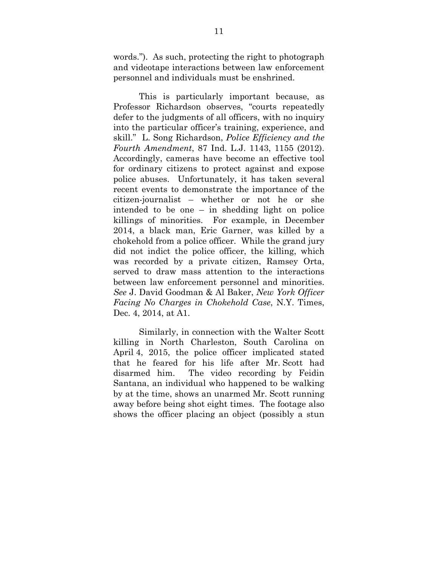words."). As such, protecting the right to photograph and videotape interactions between law enforcement personnel and individuals must be enshrined.

This is particularly important because, as Professor Richardson observes, "courts repeatedly defer to the judgments of all officers, with no inquiry into the particular officer's training, experience, and skill." L. Song Richardson, *Police Efficiency and the Fourth Amendment*, 87 Ind. L.J. 1143, 1155 (2012). Accordingly, cameras have become an effective tool for ordinary citizens to protect against and expose police abuses. Unfortunately, it has taken several recent events to demonstrate the importance of the citizen-journalist – whether or not he or she intended to be one – in shedding light on police killings of minorities. For example, in December 2014, a black man, Eric Garner, was killed by a chokehold from a police officer. While the grand jury did not indict the police officer, the killing, which was recorded by a private citizen, Ramsey Orta, served to draw mass attention to the interactions between law enforcement personnel and minorities. *See* J. David Goodman & Al Baker, *New York Officer Facing No Charges in Chokehold Case*, N.Y. Times, Dec. 4, 2014, at A1.

Similarly, in connection with the Walter Scott killing in North Charleston, South Carolina on April 4, 2015, the police officer implicated stated that he feared for his life after Mr. Scott had disarmed him. The video recording by Feidin Santana, an individual who happened to be walking by at the time, shows an unarmed Mr. Scott running away before being shot eight times. The footage also shows the officer placing an object (possibly a stun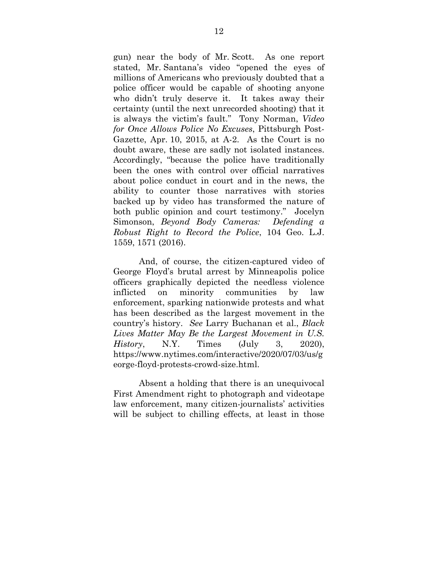gun) near the body of Mr. Scott. As one report stated, Mr. Santana's video "opened the eyes of millions of Americans who previously doubted that a police officer would be capable of shooting anyone who didn't truly deserve it. It takes away their certainty (until the next unrecorded shooting) that it is always the victim's fault." Tony Norman, *Video for Once Allows Police No Excuses*, Pittsburgh Post-Gazette, Apr. 10, 2015, at A-2. As the Court is no doubt aware, these are sadly not isolated instances. Accordingly, "because the police have traditionally been the ones with control over official narratives about police conduct in court and in the news, the ability to counter those narratives with stories backed up by video has transformed the nature of both public opinion and court testimony." Jocelyn Simonson, *Beyond Body Cameras: Defending a Robust Right to Record the Police*, 104 Geo. L.J. 1559, 1571 (2016).

And, of course, the citizen-captured video of George Floyd's brutal arrest by Minneapolis police officers graphically depicted the needless violence inflicted on minority communities by law enforcement, sparking nationwide protests and what has been described as the largest movement in the country's history. *See* Larry Buchanan et al., *Black Lives Matter May Be the Largest Movement in U.S. History*, N.Y. Times (July 3, 2020), https://www.nytimes.com/interactive/2020/07/03/us/g eorge-floyd-protests-crowd-size.html.

Absent a holding that there is an unequivocal First Amendment right to photograph and videotape law enforcement, many citizen-journalists' activities will be subject to chilling effects, at least in those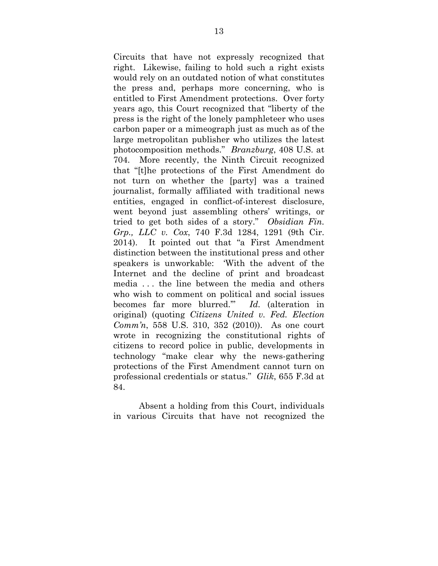Circuits that have not expressly recognized that right. Likewise, failing to hold such a right exists would rely on an outdated notion of what constitutes the press and, perhaps more concerning, who is entitled to First Amendment protections. Over forty years ago, this Court recognized that "liberty of the press is the right of the lonely pamphleteer who uses carbon paper or a mimeograph just as much as of the large metropolitan publisher who utilizes the latest photocomposition methods." *Branzburg*, 408 U.S. at 704. More recently, the Ninth Circuit recognized that "[t]he protections of the First Amendment do not turn on whether the [party] was a trained journalist, formally affiliated with traditional news entities, engaged in conflict-of-interest disclosure, went beyond just assembling others' writings, or tried to get both sides of a story." *Obsidian Fin. Grp., LLC v. Cox*, 740 F.3d 1284, 1291 (9th Cir. 2014). It pointed out that "a First Amendment distinction between the institutional press and other speakers is unworkable: 'With the advent of the Internet and the decline of print and broadcast media . . . the line between the media and others who wish to comment on political and social issues becomes far more blurred.'" *Id.* (alteration in original) (quoting *Citizens United v. Fed. Election Comm'n*, 558 U.S. 310, 352 (2010)). As one court wrote in recognizing the constitutional rights of citizens to record police in public, developments in technology "make clear why the news-gathering protections of the First Amendment cannot turn on professional credentials or status." *Glik*, 655 F.3d at 84.

Absent a holding from this Court, individuals in various Circuits that have not recognized the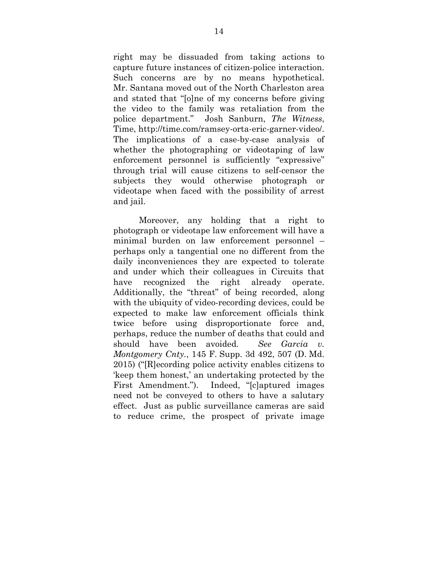right may be dissuaded from taking actions to capture future instances of citizen-police interaction. Such concerns are by no means hypothetical. Mr. Santana moved out of the North Charleston area and stated that "[o]ne of my concerns before giving the video to the family was retaliation from the police department." Josh Sanburn, *The Witness*, Time, http://time.com/ramsey-orta-eric-garner-video/. The implications of a case-by-case analysis of whether the photographing or videotaping of law enforcement personnel is sufficiently "expressive" through trial will cause citizens to self-censor the subjects they would otherwise photograph or videotape when faced with the possibility of arrest and jail.

Moreover, any holding that a right to photograph or videotape law enforcement will have a minimal burden on law enforcement personnel – perhaps only a tangential one no different from the daily inconveniences they are expected to tolerate and under which their colleagues in Circuits that have recognized the right already operate. Additionally, the "threat" of being recorded, along with the ubiquity of video-recording devices, could be expected to make law enforcement officials think twice before using disproportionate force and, perhaps, reduce the number of deaths that could and should have been avoided*. See Garcia v. Montgomery Cnty.*, 145 F. Supp. 3d 492, 507 (D. Md. 2015) ("[R]ecording police activity enables citizens to 'keep them honest,' an undertaking protected by the First Amendment."). Indeed, "[c]aptured images need not be conveyed to others to have a salutary effect. Just as public surveillance cameras are said to reduce crime, the prospect of private image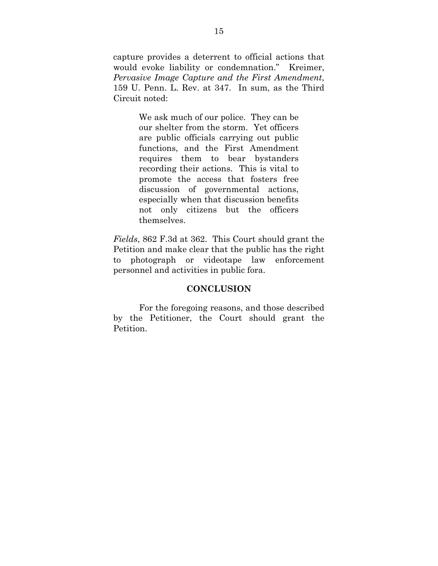capture provides a deterrent to official actions that would evoke liability or condemnation." Kreimer, *Pervasive Image Capture and the First Amendment*, 159 U. Penn. L. Rev. at 347. In sum, as the Third Circuit noted:

> We ask much of our police. They can be our shelter from the storm. Yet officers are public officials carrying out public functions, and the First Amendment requires them to bear bystanders recording their actions. This is vital to promote the access that fosters free discussion of governmental actions, especially when that discussion benefits not only citizens but the officers themselves.

*Fields*, 862 F.3d at 362. This Court should grant the Petition and make clear that the public has the right to photograph or videotape law enforcement personnel and activities in public fora.

#### **CONCLUSION**

For the foregoing reasons, and those described by the Petitioner, the Court should grant the Petition.